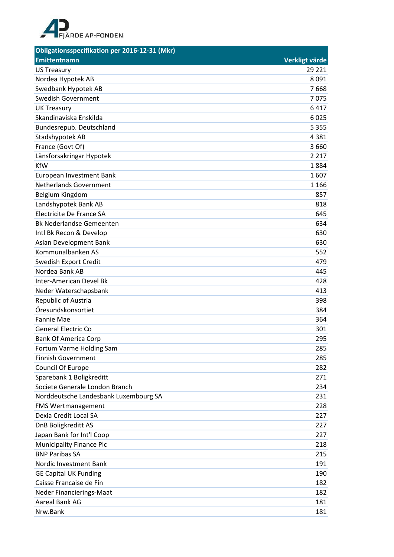

| Obligationsspecifikation per 2016-12-31 (Mkr) |                |
|-----------------------------------------------|----------------|
| Emittentnamn                                  | Verkligt värde |
| <b>US Treasury</b>                            | 29 221         |
| Nordea Hypotek AB                             | 8091           |
| Swedbank Hypotek AB                           | 7668           |
| <b>Swedish Government</b>                     | 7075           |
| <b>UK Treasury</b>                            | 6417           |
| Skandinaviska Enskilda                        | 6025           |
| Bundesrepub. Deutschland                      | 5 3 5 5        |
| Stadshypotek AB                               | 4 3 8 1        |
| France (Govt Of)                              | 3660           |
| Länsforsakringar Hypotek                      | 2 2 1 7        |
| <b>KfW</b>                                    | 1884           |
| European Investment Bank                      | 1607           |
| <b>Netherlands Government</b>                 | 1 1 6 6        |
| Belgium Kingdom                               | 857            |
| Landshypotek Bank AB                          | 818            |
| Electricite De France SA                      | 645            |
| <b>Bk Nederlandse Gemeenten</b>               | 634            |
| Intl Bk Recon & Develop                       | 630            |
| <b>Asian Development Bank</b>                 | 630            |
| Kommunalbanken AS                             | 552            |
| Swedish Export Credit                         | 479            |
| Nordea Bank AB                                | 445            |
| Inter-American Devel Bk                       | 428            |
| Neder Waterschapsbank                         | 413            |
| Republic of Austria                           | 398            |
| Öresundskonsortiet                            | 384            |
| <b>Fannie Mae</b>                             | 364            |
| <b>General Electric Co</b>                    | 301            |
| <b>Bank Of America Corp</b>                   | 295            |
| Fortum Varme Holding Sam                      | 285            |
| <b>Finnish Government</b>                     | 285            |
| Council Of Europe                             | 282            |
| Sparebank 1 Boligkreditt                      | 271            |
| Societe Generale London Branch                | 234            |
| Norddeutsche Landesbank Luxembourg SA         | 231            |
| <b>FMS Wertmanagement</b>                     | 228            |
| Dexia Credit Local SA                         | 227            |
| DnB Boligkreditt AS                           | 227            |
| Japan Bank for Int'l Coop                     | 227            |
| <b>Municipality Finance Plc</b>               | 218            |
| <b>BNP Paribas SA</b>                         | 215            |
| Nordic Investment Bank                        | 191            |
| <b>GE Capital UK Funding</b>                  | 190            |
| Caisse Francaise de Fin                       | 182            |
| Neder Financierings-Maat                      | 182            |
| Aareal Bank AG                                | 181            |
| Nrw.Bank                                      | 181            |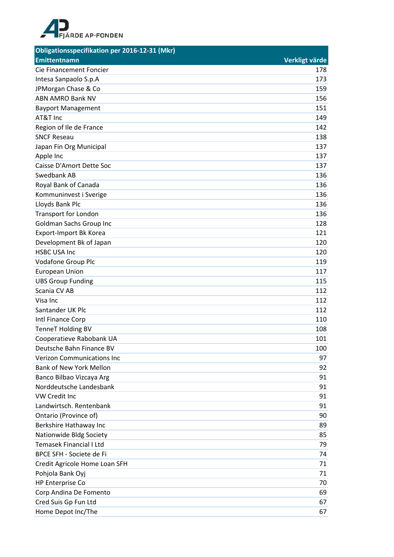

| <b>Obligationsspecifikation per 2016-12-31 (Mkr)</b> |                |
|------------------------------------------------------|----------------|
| <b>Emittentnamn</b>                                  | Verkligt värde |
| Cie Financement Foncier                              | 178            |
| Intesa Sanpaolo S.p.A                                | 173            |
| JPMorgan Chase & Co                                  | 159            |
| <b>ABN AMRO Bank NV</b>                              | 156            |
| <b>Bayport Management</b>                            | 151            |
| AT&T Inc                                             | 149            |
| Region of Ile de France                              | 142            |
| <b>SNCF Reseau</b>                                   | 138            |
| Japan Fin Org Municipal                              | 137            |
| Apple Inc                                            | 137            |
| Caisse D'Amort Dette Soc                             | 137            |
| Swedbank AB                                          | 136            |
| Royal Bank of Canada                                 | 136            |
| Kommuninvest i Sverige                               | 136            |
| Lloyds Bank Plc                                      | 136            |
| <b>Transport for London</b>                          | 136            |
| <b>Goldman Sachs Group Inc</b>                       | 128            |
| Export-Import Bk Korea                               | 121            |
| Development Bk of Japan                              | 120            |
| <b>HSBC USA Inc</b>                                  | 120            |
| Vodafone Group Plc                                   | 119            |
| <b>European Union</b>                                | 117            |
| <b>UBS Group Funding</b>                             | 115            |
| Scania CV AB                                         | 112            |
| Visa Inc                                             | 112            |
| Santander UK Plc                                     | 112            |
| Intl Finance Corp                                    | 110            |
| <b>TenneT Holding BV</b>                             | 108            |
| Cooperatieve Rabobank UA                             | 101            |
| Deutsche Bahn Finance BV                             | 100            |
| <b>Verizon Communications Inc</b>                    | 97             |
| <b>Bank of New York Mellon</b>                       | 92             |
| Banco Bilbao Vizcaya Arg                             | 91             |
| Norddeutsche Landesbank                              | 91             |
| VW Credit Inc                                        | 91             |
| Landwirtsch. Rentenbank                              | 91             |
| Ontario (Province of)                                | 90             |
| Berkshire Hathaway Inc                               | 89             |
| Nationwide Bldg Society                              | 85             |
| <b>Temasek Financial I Ltd</b>                       | 79             |
| BPCE SFH - Societe de Fi                             | 74             |
| Credit Agricole Home Loan SFH                        | 71             |
| Pohjola Bank Oyj                                     | 71             |
| HP Enterprise Co                                     | 70             |
| Corp Andina De Fomento                               | 69             |
| Cred Suis Gp Fun Ltd                                 | 67             |
| Home Depot Inc/The                                   | 67             |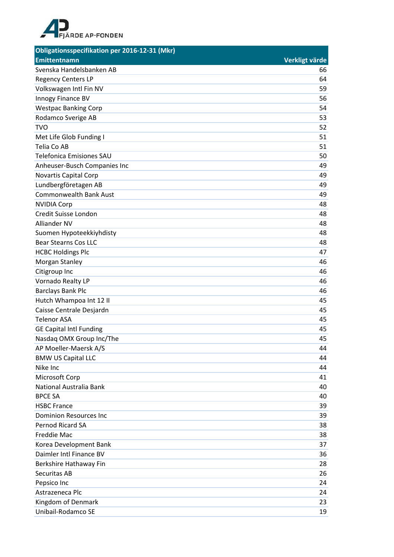

| <b>Obligationsspecifikation per 2016-12-31 (Mkr)</b> |                |
|------------------------------------------------------|----------------|
| <b>Emittentnamn</b>                                  | Verkligt värde |
| Svenska Handelsbanken AB                             | 66             |
| <b>Regency Centers LP</b>                            | 64             |
| Volkswagen Intl Fin NV                               | 59             |
| Innogy Finance BV                                    | 56             |
| <b>Westpac Banking Corp</b>                          | 54             |
| Rodamco Sverige AB                                   | 53             |
| <b>TVO</b>                                           | 52             |
| Met Life Glob Funding I                              | 51             |
| Telia Co AB                                          | 51             |
| <b>Telefonica Emisiones SAU</b>                      | 50             |
| Anheuser-Busch Companies Inc                         | 49             |
| Novartis Capital Corp                                | 49             |
| Lundbergföretagen AB                                 | 49             |
| <b>Commonwealth Bank Aust</b>                        | 49             |
| <b>NVIDIA Corp</b>                                   | 48             |
| Credit Suisse London                                 | 48             |
| Alliander NV                                         | 48             |
| Suomen Hypoteekkiyhdisty                             | 48             |
| <b>Bear Stearns Cos LLC</b>                          | 48             |
| <b>HCBC Holdings Plc</b>                             | 47             |
| Morgan Stanley                                       | 46             |
| Citigroup Inc                                        | 46             |
| Vornado Realty LP                                    | 46             |
| <b>Barclays Bank Plc</b>                             | 46             |
| Hutch Whampoa Int 12 II                              | 45             |
| Caisse Centrale Desjardn                             | 45             |
| <b>Telenor ASA</b>                                   | 45             |
| <b>GE Capital Intl Funding</b>                       | 45             |
| Nasdag OMX Group Inc/The                             | 45             |
| AP Moeller-Maersk A/S                                | 44             |
| <b>BMW US Capital LLC</b>                            | 44             |
| Nike Inc                                             | 44             |
| Microsoft Corp                                       | 41             |
| National Australia Bank                              | 40             |
| <b>BPCE SA</b>                                       | 40             |
| <b>HSBC France</b>                                   | 39             |
| <b>Dominion Resources Inc</b>                        | 39             |
| Pernod Ricard SA                                     | 38             |
| Freddie Mac                                          | 38             |
| Korea Development Bank                               | 37             |
| Daimler Intl Finance BV                              | 36             |
| Berkshire Hathaway Fin                               | 28             |
| Securitas AB                                         | 26             |
| Pepsico Inc                                          | 24             |
| Astrazeneca Plc                                      | 24             |
| Kingdom of Denmark                                   | 23             |
| Unibail-Rodamco SE                                   | 19             |